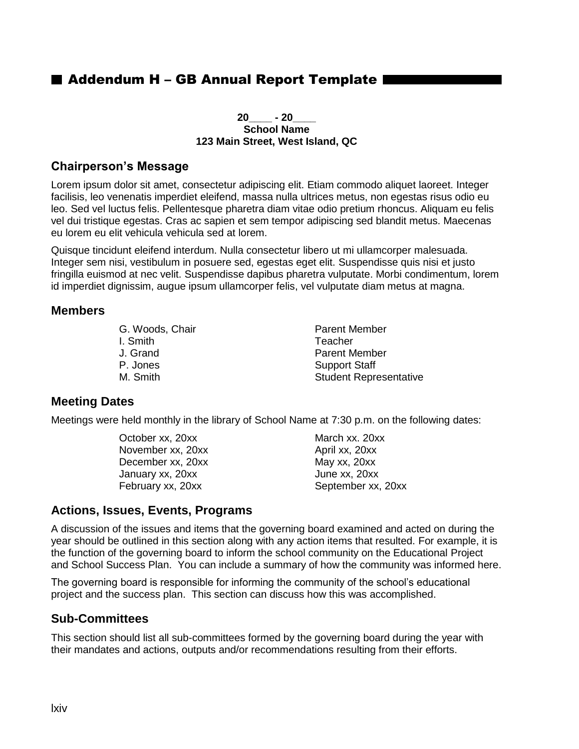# ■ Addendum H – GB Annual Report Template I

#### **20\_\_\_\_ - 20\_\_\_\_ School Name 123 Main Street, West Island, QC**

#### **Chairperson's Message**

Lorem ipsum dolor sit amet, consectetur adipiscing elit. Etiam commodo aliquet laoreet. Integer facilisis, leo venenatis imperdiet eleifend, massa nulla ultrices metus, non egestas risus odio eu leo. Sed vel luctus felis. Pellentesque pharetra diam vitae odio pretium rhoncus. Aliquam eu felis vel dui tristique egestas. Cras ac sapien et sem tempor adipiscing sed blandit metus. Maecenas eu lorem eu elit vehicula vehicula sed at lorem.

Quisque tincidunt eleifend interdum. Nulla consectetur libero ut mi ullamcorper malesuada. Integer sem nisi, vestibulum in posuere sed, egestas eget elit. Suspendisse quis nisi et justo fringilla euismod at nec velit. Suspendisse dapibus pharetra vulputate. Morbi condimentum, lorem id imperdiet dignissim, augue ipsum ullamcorper felis, vel vulputate diam metus at magna.

#### **Members**

G. Woods, Chair **Parent Member** I. Smith Teacher J. Grand Parent Member P. Jones **Support Staff** 

M. Smith Student Representative

### **Meeting Dates**

Meetings were held monthly in the library of School Name at 7:30 p.m. on the following dates:

October xx, 20xx March xx. 20xx November xx, 20xx April xx, 20xx December xx, 20xx May xx, 20xx January xx, 20xx June xx, 20xx

February xx, 20xx September xx, 20xx

### **Actions, Issues, Events, Programs**

A discussion of the issues and items that the governing board examined and acted on during the year should be outlined in this section along with any action items that resulted. For example, it is the function of the governing board to inform the school community on the Educational Project and School Success Plan. You can include a summary of how the community was informed here.

The governing board is responsible for informing the community of the school's educational project and the success plan. This section can discuss how this was accomplished.

### **Sub-Committees**

This section should list all sub-committees formed by the governing board during the year with their mandates and actions, outputs and/or recommendations resulting from their efforts.